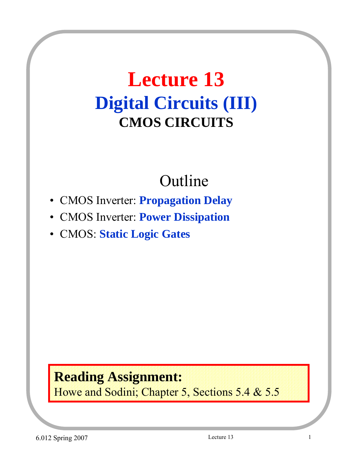## **Lecture 13 Digital Circuits (III) CMOS CIRCUITS**

## Outline

- CMOS Inverter: **Propagation Delay**
- CMOS Inverter: **Power Dissipation**
- CMOS: **Static Logic Gates**

#### **Reading Assignment:** Howe and Sodini; Chapter 5, Sections 5.4 & 5.5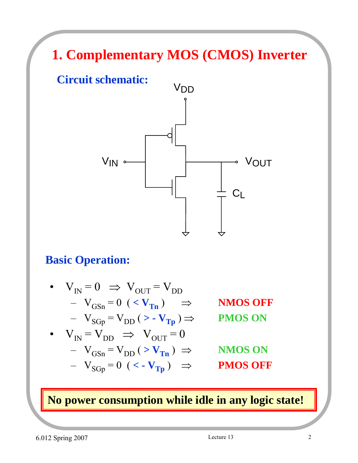## **1. Complementary MOS (CMOS) Inverter**





#### **Basic Operation:**

• 
$$
V_{IN} = 0 \Rightarrow V_{OUT} = V_{DD}
$$
  
\n-  $V_{GSn} = 0$  ( $\langle V_{Tn} \rangle$   $\Rightarrow$  NMOS OFF  
\n-  $V_{SGp} = V_{DD} (\rangle - V_{Tp}) \Rightarrow$  PMOS ON  
\n•  $V_{IN} = V_{DD} \Rightarrow V_{OUT} = 0$   
\n-  $V_{GSn} = V_{DD} (\rangle V_{Tn}) \Rightarrow$  NMOS ON

$$
- V_{SGp} = 0 \ (VTp) \Rightarrow \text{PMOS OFF}
$$

**No power consumption while idle in any logic state!**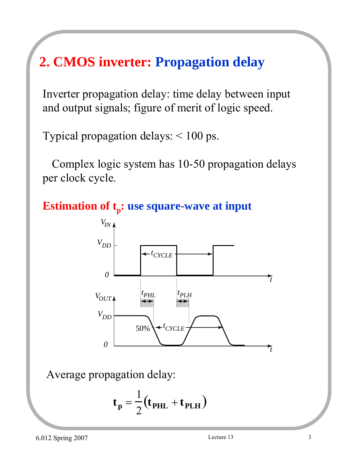## **2. CMOS inverter: Propagation delay**

Inverter propagation delay: time delay between input and output signals; figure of merit of logic speed.

Typical propagation delays: < 100 ps.

Complex logic system has 10-50 propagation delays per clock cycle.





Average propagation delay:

$$
\mathbf{t}_{\mathbf{p}} = \frac{1}{2} (\mathbf{t}_{\mathbf{PHL}} + \mathbf{t}_{\mathbf{PLH}})
$$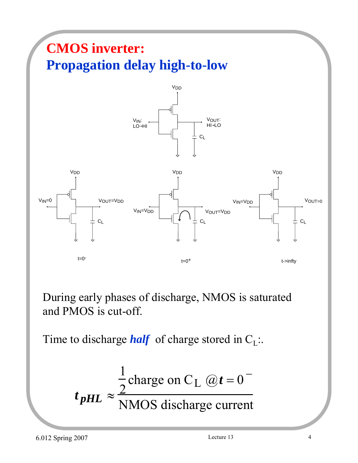

During early phases of discharge, NMOS is saturated and PMOS is cut-off.

Time to discharge *half* of charge stored in  $C_L$ .

$$
t_{pHL} \approx \frac{\frac{1}{2} \text{charge on C}_L (\omega t = 0^{-1})}{\text{NMOS discharge current}}
$$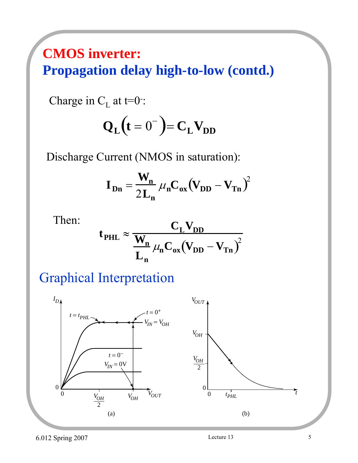### **CMOS inverter: Propagation delay high-to-low (contd.)**

Charge in  $C_{L}$  at t=0:

$$
\mathbf{Q}_{\mathbf{L}}(\mathbf{t} = \mathbf{0}^{-}) = \mathbf{C}_{\mathbf{L}} \mathbf{V}_{\mathbf{DD}}
$$

Discharge Current (NMOS in saturation):

$$
\mathbf{I}_{\mathbf{Dn}} = \frac{\mathbf{W}_{\mathbf{n}}}{2\mathbf{L}_{\mathbf{n}}} \mu_{\mathbf{n}} \mathbf{C}_{\mathbf{ox}} (\mathbf{V}_{\mathbf{D}\mathbf{D}} - \mathbf{V}_{\mathbf{T}\mathbf{n}})^2
$$

Then:

$$
t_{PHL} \approx \frac{C_L V_{DD}}{L_n} \mu_n C_{ox} (V_{DD} - V_{Tn})^2
$$

Graphical Interpretation

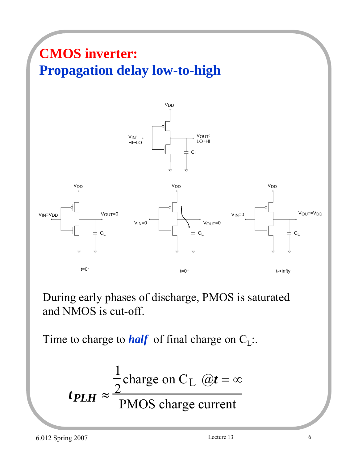## **CMOS inverter: Propagation delay low-to-high**



During early phases of discharge, PMOS is saturated and NMOS is cut-off.

Time to charge to *half* of final charge on  $C_l$ :.

$$
t_{PLH} \approx \frac{\frac{1}{2} \text{charge on C}_L \omega t = \infty}{\text{PMOS charge current}}
$$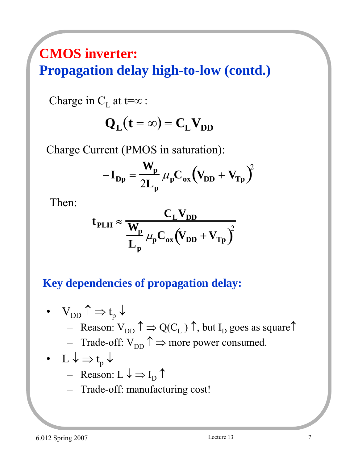### **CMOS inverter: Propagation delay high-to-low (contd.)**

Charge in  $C_L$  at t= $\infty$ :

$$
Q_{L}(t=\infty) = C_{L}V_{DD}
$$

Charge Current (PMOS in saturation):

$$
-I_{Dp} = \frac{W_p}{2L_p} \mu_p C_{ox} (V_{DD} + V_{Tp})^2
$$

Then:

$$
t_{PLH} \approx \frac{C_L V_{DD}}{L_p} \mu_p C_{ox} (V_{DD} + V_{Tp})^2
$$

#### **Key dependencies of propagation delay:**

\n- \n
$$
V_{DD} \uparrow \Rightarrow t_p \downarrow
$$
\n - Reason:  $V_{DD} \uparrow \Rightarrow Q(C_L) \uparrow$ , but  $I_D$  goes as square.\n
\n- \n $I \downarrow \Rightarrow t_p \downarrow$ \n - Raason:  $L \downarrow \Rightarrow I_D \uparrow$ \n - Reason:  $L \downarrow \Rightarrow I_D \uparrow$ \n
\n

– Trade-off: manufacturing cost!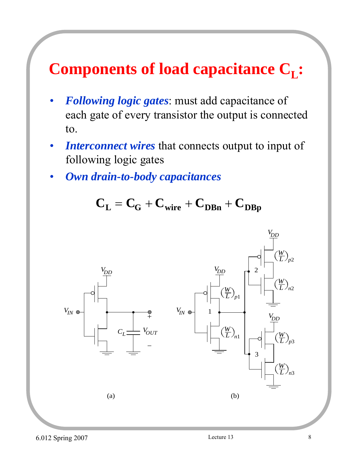## **Components of load capacitance C<sub>L</sub>:**

- *Following logic gates*: must add capacitance of each gate of every transistor the output is connected to.
- *Interconnect wires* that connects output to input of following logic gates
- *Own drain-to-body capacitances*

 $C_{L} = C_{G} + C_{wire} + C_{DBn} + C_{DBp}$ 

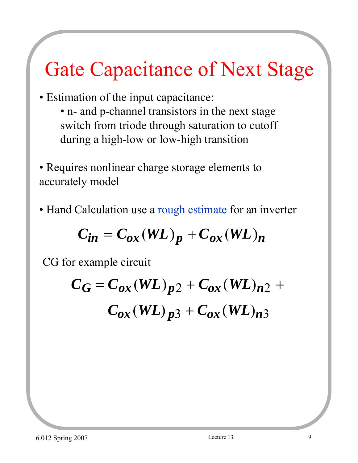# Gate Capacitance of Next Stage

- Estimation of the input capacitance:
	- n- and p-channel transistors in the next stage switch from triode through saturation to cutoff during a high-low or low-high transition
- Requires nonlinear charge storage elements to accurately model
- Hand Calculation use a rough estimate for an inverter

$$
C_{in} = C_{ox}(WL)_p + C_{ox}(WL)_n
$$

CG for example circuit

$$
C_G = C_{ox}(WL)_{p2} + C_{ox}(WL)_{n2} + C_{ox}(WL)_{n3}
$$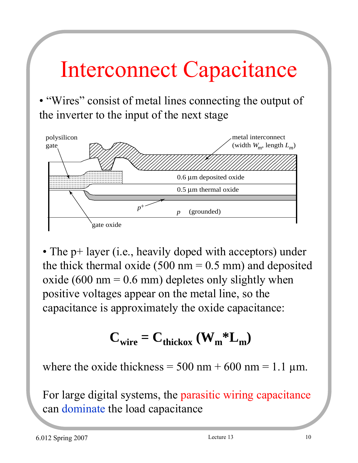# Interconnect Capacitance

• "Wires" consist of metal lines connecting the output of the inverter to the input of the next stage



• The p+ layer (i.e., heavily doped with acceptors) under the thick thermal oxide (500 nm  $= 0.5$  mm) and deposited oxide (600 nm =  $0.6$  mm) depletes only slightly when positive voltages appear on the metal line, so the capacitance is approximately the oxide capacitance:

## $C_{wire} = C_{thickox} (W_m * L_m)$

where the oxide thickness =  $500 \text{ nm} + 600 \text{ nm} = 1.1 \text{ µm}$ .

For large digital systems, the parasitic wiring capacitance can dominate the load capacitance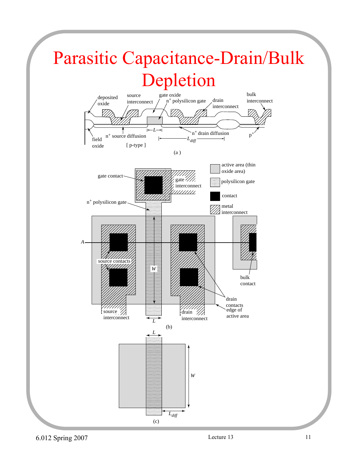# Parasitic Capacitance-Drain/Bulk Depletion



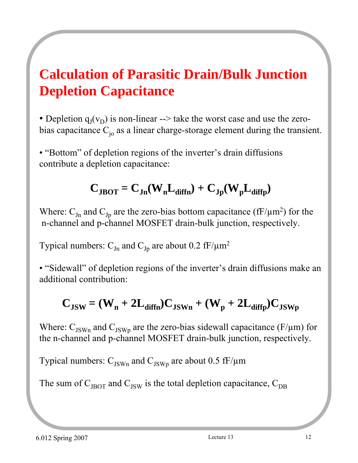## **Calculation of Parasitic Drain/Bulk Junction Depletion Capacitance**

• Depletion  $q_I(v_D)$  is non-linear --> take the worst case and use the zerobias capacitance  $C_{i_0}$  as a linear charge-storage element during the transient.

• "Bottom" of depletion regions of the inverter's drain diffusions contribute a depletion capacitance:

#### $C_{\text{JBOT}} = C_{\text{Jn}}(W_{\text{n}}L_{\text{diffn}}) + C_{\text{Jp}}(W_{\text{n}}L_{\text{diffn}})$

Where:  $C_{Jn}$  and  $C_{Jp}$  are the zero-bias bottom capacitance (fF/ $\mu$ m<sup>2</sup>) for the n-channel and p-channel MOSFET drain-bulk junction, respectively.

Typical numbers:  $C_{Jn}$  and  $C_{Jp}$  are about 0.2 fF/ $\mu$ m<sup>2</sup>

• "Sidewall" of depletion regions of the inverter's drain diffusions make an additional contribution:

## $C_{\text{JSW}} = (W_n + 2L_{\text{diffn}})C_{\text{JSWn}} + (W_p + 2L_{\text{diffp}})C_{\text{JSWp}}$

Where:  $C_{JSWn}$  and  $C_{JSWp}$  are the zero-bias sidewall capacitance (F/ $\mu$ m) for the n-channel and p-channel MOSFET drain-bulk junction, respectively.

Typical numbers:  $C_{\text{JSWn}}$  and  $C_{\text{JSWp}}$  are about 0.5 fF/ $\mu$ m

The sum of  $C_{J\text{BOT}}$  and  $C_{J\text{SW}}$  is the total depletion capacitance,  $C_{DB}$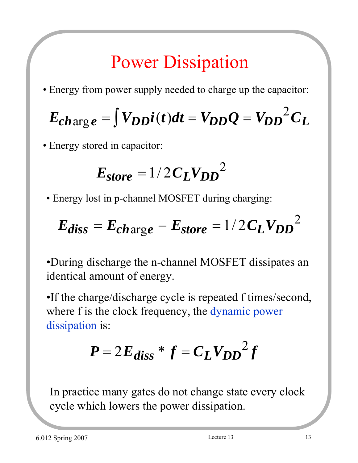## Power Dissipation

• Energy from power supply needed to charge up the capacitor:

$$
E_{charge} = \int V_{DD} i(t) dt = V_{DD} Q = V_{DD}^2 C_L
$$

• Energy stored in capacitor:

$$
E_{store} = 1/2 C_L V_{DD}^2
$$

• Energy lost in p-channel MOSFET during charging:

$$
E_{diss} = E_{charge} - E_{store} = 1/2 C_L V_{DD}^2
$$

•During discharge the n-channel MOSFET dissipates an identical amount of energy.

•If the charge/discharge cycle is repeated f times/second, where f is the clock frequency, the dynamic power dissipation is:

$$
P = 2E_{diss} * f = C_L V_{DD}^2 f
$$

In practice many gates do not change state every clock cycle which lowers the power dissipation.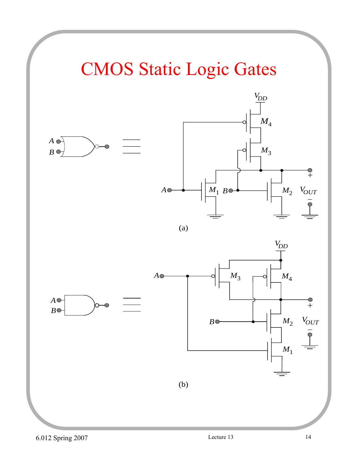# CMOS Static Logic Gates

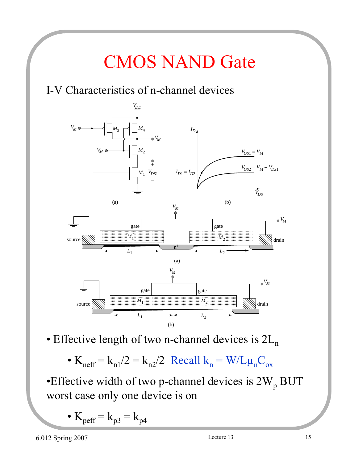# CMOS NAND Gate

#### I-V Characteristics of n-channel devices



• Effective length of two n-channel devices is  $2L_n$ 

•  $K_{\text{neff}} = k_{n1}/2 = k_{n2}/2$  Recall  $k_n = W/L\mu_nC_{ox}$ 

•Effective width of two p-channel devices is  $2W_p BUT$ worst case only one device is on

•  $K_{\text{perf}} = k_{p3} = k_{p4}$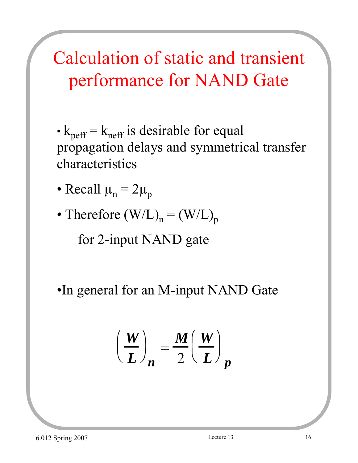# Calculation of static and transient performance for NAND Gate

- $k_{\text{perf}} = k_{\text{neff}}$  is desirable for equal propagation delays and symmetrical transfer characteristics
- Recall  $\mu_n = 2\mu_p$
- Therefore  $(W/L)_n = (W/L)_p$

for 2-input NAND gate

•In general for an M-input NAND Gate

$$
\left(\frac{W}{L}\right)_n = \frac{M}{2}\left(\frac{W}{L}\right)_p
$$